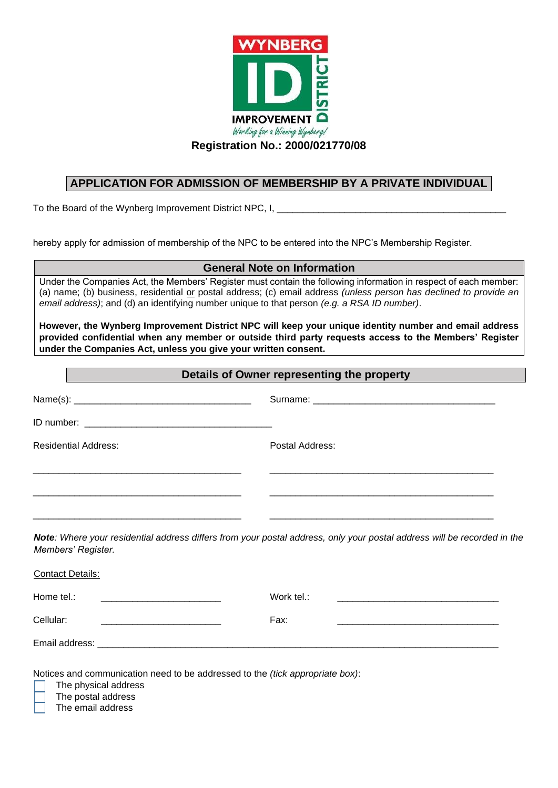

**Registration No.: 2000/021770/08** 

# **APPLICATION FOR ADMISSION OF MEMBERSHIP BY A PRIVATE INDIVIDUAL**

To the Board of the Wynberg Improvement District NPC, I,

hereby apply for admission of membership of the NPC to be entered into the NPC's Membership Register.

### **General Note on Information**

Under the Companies Act, the Members' Register must contain the following information in respect of each member: (a) name; (b) business, residential or postal address; (c) email address *(unless person has declined to provide an email address)*; and (d) an identifying number unique to that person *(e.g. a RSA ID number)*.

**However, the Wynberg Improvement District NPC will keep your unique identity number and email address provided confidential when any member or outside third party requests access to the Members' Register under the Companies Act, unless you give your written consent.** 

## **Details of Owner representing the property**

| <b>Residential Address:</b>                                                                                                         | Postal Address:                                                                                                               |
|-------------------------------------------------------------------------------------------------------------------------------------|-------------------------------------------------------------------------------------------------------------------------------|
|                                                                                                                                     |                                                                                                                               |
|                                                                                                                                     | <u> 1980 - Jan James Barnett, amerikan basar dan berasal di sebagai persenaan basar dan berasal di sebagai persena</u>        |
|                                                                                                                                     |                                                                                                                               |
| Members' Register.                                                                                                                  | Note: Where your residential address differs from your postal address, only your postal address will be recorded in the       |
| <b>Contact Details:</b>                                                                                                             |                                                                                                                               |
| Home tel.:<br><u> 1980 - Jan Barnett, fransk politik (d. 1980)</u>                                                                  | Work tel.:                                                                                                                    |
| Cellular:<br><u> 1989 - Jan Barnett, mars et al. 1989 - Antonio Alemania et al. 1989 - Antonio Alemania et al. 1989 - Antonio A</u> | Fax:<br><u> 1989 - Johann Harry Harry Harry Harry Harry Harry Harry Harry Harry Harry Harry Harry Harry Harry Harry Harry</u> |
|                                                                                                                                     |                                                                                                                               |

Notices and communication need to be addressed to the *(tick appropriate box)*:

The physical address

The postal address

The email address